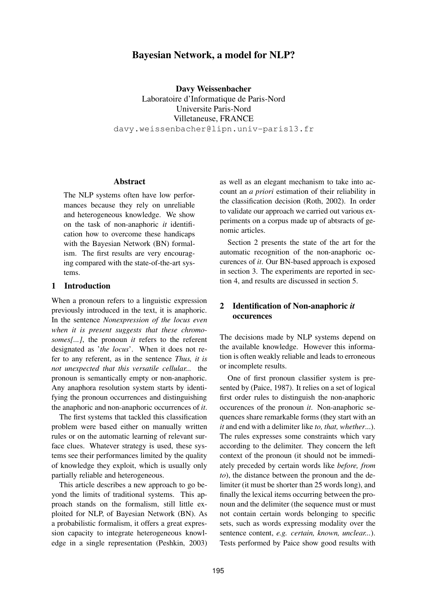# **Bayesian Network, a model for NLP?**

**Davy Weissenbacher** Laboratoire d'Informatique de Paris-Nord Universite Paris-Nord Villetaneuse, FRANCE davy.weissenbacher@lipn.univ-paris13.fr

### **Abstract**

The NLP systems often have low performances because they rely on unreliable and heterogeneous knowledge. We show on the task of non-anaphoric *it* identification how to overcome these handicaps with the Bayesian Network (BN) formalism. The first results are very encouraging compared with the state-of-the-art systems.

## **1 Introduction**

When a pronoun refers to a linguistic expression previously introduced in the text, it is anaphoric. In the sentence *Nonexpression of the locus even when it is present suggests that these chromosomes[...]*, the pronoun *it* refers to the referent designated as '*the locus*'. When it does not refer to any referent, as in the sentence *Thus, it is not unexpected that this versatile cellular...* the pronoun is semantically empty or non-anaphoric. Any anaphora resolution system starts by identifying the pronoun occurrences and distinguishing the anaphoric and non-anaphoric occurrences of *it*.

The first systems that tackled this classification problem were based either on manually written rules or on the automatic learning of relevant surface clues. Whatever strategy is used, these systems see their performances limited by the quality of knowledge they exploit, which is usually only partially reliable and heterogeneous.

This article describes a new approach to go beyond the limits of traditional systems. This approach stands on the formalism, still little exploited for NLP, of Bayesian Network (BN). As a probabilistic formalism, it offers a great expression capacity to integrate heterogeneous knowledge in a single representation (Peshkin, 2003)

as well as an elegant mechanism to take into account an *a priori* estimation of their reliability in the classification decision (Roth, 2002). In order to validate our approach we carried out various experiments on a corpus made up of abtsracts of genomic articles.

Section 2 presents the state of the art for the automatic recognition of the non-anaphoric occurences of *it*. Our BN-based approach is exposed in section 3. The experiments are reported in section 4, and results are discussed in section 5.

# **2 Identification of Non-anaphoric** *it* **occurences**

The decisions made by NLP systems depend on the available knowledge. However this information is often weakly reliable and leads to erroneous or incomplete results.

One of first pronoun classifier system is presented by (Paice, 1987). It relies on a set of logical first order rules to distinguish the non-anaphoric occurences of the pronoun *it*. Non-anaphoric sequences share remarkable forms (they start with an *it* and end with a delimiter like *to, that, whether*...). The rules expresses some constraints which vary according to the delimiter. They concern the left context of the pronoun (it should not be immediately preceded by certain words like *before, from to*), the distance between the pronoun and the delimiter (it must be shorter than 25 words long), and finally the lexical items occurring between the pronoun and the delimiter (the sequence must or must not contain certain words belonging to specific sets, such as words expressing modality over the sentence content, *e.g. certain, known, unclear...*). Tests performed by Paice show good results with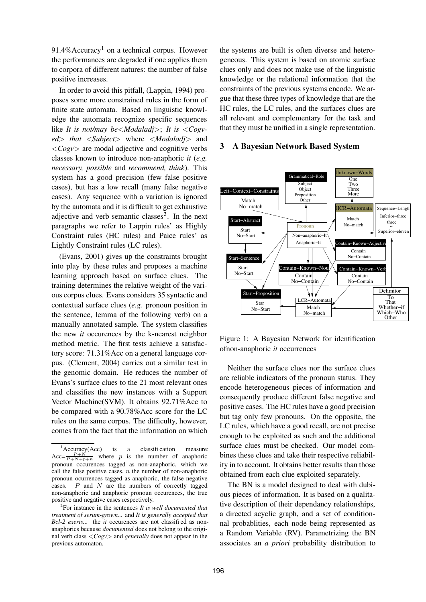$91.4\%$ Accuracy<sup>1</sup> on a technical corpus. However the performances are degraded if one applies them to corpora of different natures: the number of false positive increases.

In order to avoid this pitfall, (Lappin, 1994) proposes some more constrained rules in the form of finite state automata. Based on linguistic knowledge the automata recognize specific sequences like *It is not/may be*<*Modaladj*>; *It is* <*Cogved*> *that* <*Subject*> where <*Modaladj*> and <*Cogv*> are modal adjective and cognitive verbs classes known to introduce non-anaphoric *it* (*e.g. necessary, possible* and *recommend, think*). This system has a good precision (few false positive cases), but has a low recall (many false negative cases). Any sequence with a variation is ignored by the automata and it is difficult to get exhaustive adjective and verb semantic classes<sup>2</sup>. In the next paragraphs we refer to Lappin rules' as Highly Constraint rules (HC rules) and Paice rules' as Lightly Constraint rules (LC rules).

(Evans, 2001) gives up the constraints brought into play by these rules and proposes a machine learning approach based on surface clues. The training determines the relative weight of the various corpus clues. Evans considers 35 syntactic and contextual surface clues (*e.g.* pronoun position in the sentence, lemma of the following verb) on a manually annotated sample. The system classifies the new *it* occurences by the k-nearest neighbor method metric. The first tests achieve a satisfactory score: 71.31%Acc on a general language corpus. (Clement, 2004) carries out a similar test in the genomic domain. He reduces the number of Evans's surface clues to the 21 most relevant ones and classifies the new instances with a Support Vector Machine(SVM). It obtains 92.71%Acc to be compared with a 90.78%Acc score for the LC rules on the same corpus. The difficulty, however, comes from the fact that the information on which

the systems are built is often diverse and heterogeneous. This system is based on atomic surface clues only and does not make use of the linguistic knowledge or the relational information that the constraints of the previous systems encode. We argue that these three types of knowledge that are the HC rules, the LC rules, and the surfaces clues are all relevant and complementary for the task and that they must be unified in a single representation.

#### **3 A Bayesian Network Based System**



Figure 1: A Bayesian Network for identification ofnon-anaphoric *it* occurrences

Neither the surface clues nor the surface clues are reliable indicators of the pronoun status. They encode heterogeneous pieces of information and consequently produce different false negative and positive cases. The HC rules have a good precision but tag only few pronouns. On the opposite, the LC rules, which have a good recall, are not precise enough to be exploited as such and the additional surface clues must be checked. Our model combines these clues and take their respective reliability in to account. It obtains better results than those obtained from each clue exploited separately.

The BN is a model designed to deal with dubious pieces of information. It is based on a qualitative description of their dependancy relationships, a directed acyclic graph, and a set of conditionnal probablities, each node being represented as a Random Variable (RV). Parametrizing the BN associates an *a priori* probability distribution to

 ${}^{1}$ Accuracy(Acc) is a classification measure: Acc= $\frac{P+N}{P+N+p+n}$  where p is the number of anaphoric pronoun occurences tagged as non-anaphoric, which we call the false positive cases,  $n$  the number of non-anaphoric pronoun ocurrences tagged as anaphoric, the false negative cases.  $P$  and  $N$  are the numbers of correctly tagged non-anaphoric and anaphoric pronoun occurences, the true positive and negative cases respectively.

<sup>2</sup> For instance in the sentences *It is well documented that treatment of serum-grown...* and *It is generally accepted that Bcl-2 exerts...* the *it* occurences are not classifi ed as nonanaphorics because *documented* does not belong to the original verb class <*Cogv*> and *generally* does not appear in the previous automaton.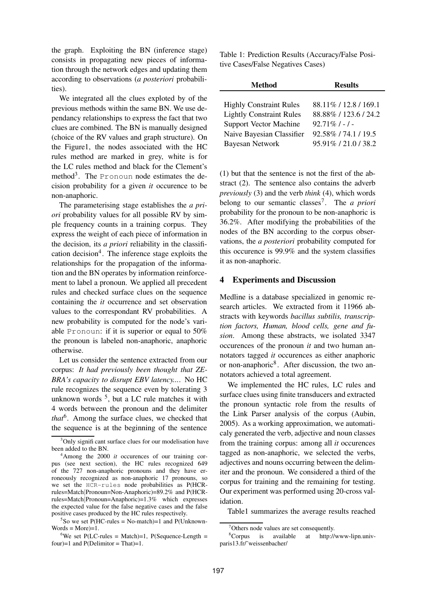the graph. Exploiting the BN (inference stage) consists in propagating new pieces of information through the network edges and updating them according to observations (*a posteriori* probabilities).

We integrated all the clues exploted by of the previous methods within the same BN. We use dependancy relationships to express the fact that two clues are combined. The BN is manually designed (choice of the RV values and graph structure). On the Figure1, the nodes associated with the HC rules method are marked in grey, white is for the LC rules method and black for the Clement's method<sup>3</sup>. The Pronoun node estimates the decision probability for a given *it* occurence to be non-anaphoric.

The parameterising stage establishes the *a priori* probability values for all possible RV by simple frequency counts in a training corpus. They express the weight of each piece of information in the decision, its *a priori* reliability in the classification decision<sup>4</sup>. The inference stage exploits the relationships for the propagation of the information and the BN operates by information reinforcement to label a pronoun. We applied all precedent rules and checked surface clues on the sequence containing the *it* occurrence and set observation values to the correspondant RV probabilities. A new probability is computed for the node's variable Pronoun: if it is superior or equal to 50% the pronoun is labeled non-anaphoric, anaphoric otherwise.

Let us consider the sentence extracted from our corpus: *It had previously been thought that ZE-BRA's capacity to disrupt EBV latency...*. No HC rule recognizes the sequence even by tolerating 3 unknown words  $5$ , but a LC rule matches it with 4 words between the pronoun and the delimiter that<sup>6</sup>. Among the surface clues, we checked that the sequence is at the beginning of the sentence

 ${}^{5}$ So we set P(HC-rules = No-match)=1 and P(Unknown- $Words = More)=1.$ 

Table 1: Prediction Results (Accuracy/False Positive Cases/False Negatives Cases)

| <b>Results</b>         |
|------------------------|
|                        |
| 88.11\% / 12.8 / 169.1 |
| 88.88% / 123.6 / 24.2  |
| $92.71\%$ / - / -      |
| 92.58% / 74.1 / 19.5   |
| 95.91%/21.0/38.2       |
|                        |

(1) but that the sentence is not the first of the abstract (2). The sentence also contains the adverb *previously* (3) and the verb *think* (4), which words belong to our semantic classes<sup>7</sup>. The *a priori* probability for the pronoun to be non-anaphoric is 36.2%. After modifying the probabilities of the nodes of the BN according to the corpus observations, the *a posteriori* probability computed for this occurence is 99.9% and the system classifies it as non-anaphoric.

## **4 Experiments and Discussion**

Medline is a database specialized in genomic research articles. We extracted from it 11966 abstracts with keywords *bacillus subtilis, transcription factors, Human, blood cells, gene and fusion*. Among these abstracts, we isolated 3347 occurences of the pronoun *it* and two human annotators tagged *it* occurences as either anaphoric or non-anaphoric<sup>8</sup>. After discussion, the two annotators achieved a total agreement.

We implemented the HC rules, LC rules and surface clues using finite transducers and extracted the pronoun syntactic role from the results of the Link Parser analysis of the corpus (Aubin, 2005). As a working approximation, we automaticaly generated the verb, adjective and noun classes from the training corpus: among all *it* occurences tagged as non-anaphoric, we selected the verbs, adjectives and nouns occurring between the delimiter and the pronoun. We considered a third of the corpus for training and the remaining for testing. Our experiment was performed using 20-cross validation.

Table1 summarizes the average results reached

<sup>&</sup>lt;sup>3</sup>Only significant surface clues for our modelisation have been added to the BN.

<sup>4</sup>Among the 2000 *it* occurences of our training corpus (see next section), the HC rules recognized 649 of the 727 non-anaphoric pronouns and they have erroneously recognized as non-anaphoric 17 pronouns, so we set the HCR-rules node probabilities as P(HCRrules=Match|Pronoun=Non-Anaphoric)=89.2% and P(HCRrules=Match|Pronoun=Anaphoric)=1.3% which expresses the expected value for the false negative cases and the false positive cases produced by the HC rules respectively.

<sup>&</sup>lt;sup>6</sup>We set P(LC-rules = Match)=1, P(Sequence-Length = four $=1$  and P(Delimitor = That $=1$ .

<sup>7</sup>Others node values are set consequently.

<sup>8</sup>Corpus is available at http://www-lipn.univparis13.fr/˜weissenbacher/